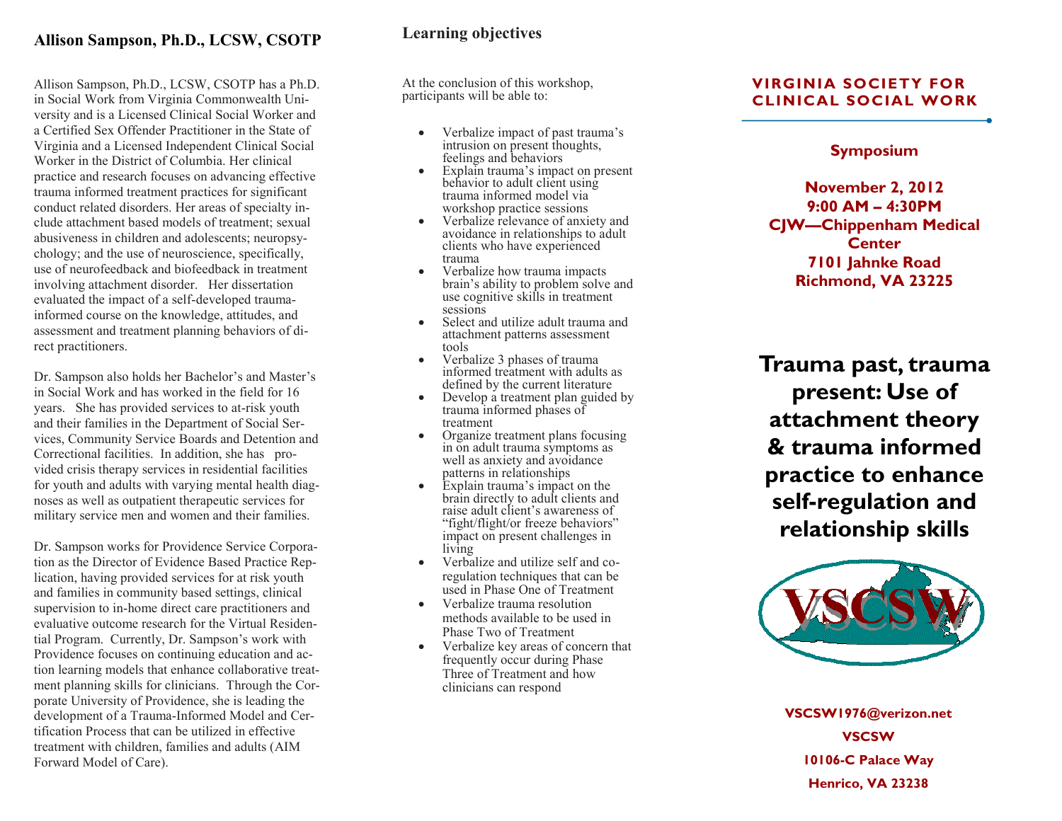## **Allison Sampson, Ph.D., LCSW, CSOTP**

Allison Sampson, Ph.D., LCSW, CSOTP has a Ph.D. in Social Work from Virginia Commonwealth University and is a Licensed Clinical Social Worker and a Certified Sex Offender Practitioner in the State of Virginia and a Licensed Independent Clinical Social Worker in the District of Columbia. Her clinical practice and research focuses on advancing effective trauma informed treatment practices for significant conduct related disorders. Her areas of specialty include attachment based models of treatment; sexual abusiveness in children and adolescents; neuropsychology; and the use of neuroscience, specifically, use of neurofeedback and biofeedback in treatment involving attachment disorder. Her dissertation evaluated the impact of a self-developed trauma informed course on the knowledge, attitudes, and assessment and treatment planning behaviors of direct practitioners.

Dr. Sampson also holds her Bachelor's and Master's in Social Work and has worked in the field for 16 years. She has provided services to at -risk youth and their families in the Department of Social Services, Community Service Boards and Detention and Correctional facilities. In addition, she has provided crisis therapy services in residential facilities for youth and adults with varying mental health diagnoses as well as outpatient therapeutic services for military service men and women and their families.

Dr. Sampson works for Providence Service Corporation as the Director of Evidence Based Practice Replication, having provided services for at risk youth and families in community based settings, clinical supervision to in -home direct care practitioners and evaluative outcome research for the Virtual Residential Program. Currently, Dr. Sampson's work with Providence focuses on continuing education and action learning models that enhance collaborative treatment planning skills for clinicians. Through the Corporate University of Providence, she is leading the development of a Trauma -Informed Model and Certification Process that can be utilized in effective treatment with children, families and adults (AIM Forward Model of Care).

## **Learning objectives**

At the conclusion of this workshop, participants will be able to:

- Verbalize impact of past trauma's intrusion on present thoughts, feelings and behaviors
- Explain trauma's impact on present behavior to adult client using trauma informed model via workshop practice sessions
- Verbalize relevance of anxiety and avoidance in relationships to adult clients who have experienced trauma
- Verbalize how trauma impacts brain's ability to problem solve and use cognitive skills in treatment sessions
- Select and utilize adult trauma and attachment patterns assessment tools
- Verbalize 3 phases of trauma informed treatment with adults as defined by the current literature
- Develop a treatment plan guided by trauma informed phases of treatment
- Organize treatment plans focusing in on adult trauma symptoms as well as anxiety and avoidance patterns in relationships
- Explain trauma's impact on the brain directly to adult clients and raise adult client's awareness of "fight/flight/or freeze behaviors" impact on present challenges in living
- Verbalize and utilize self and co regulation techniques that can be used in Phase One of Treatment
- Verbalize trauma resolution methods available to be used in Phase Two of Treatment
- Verbalize key areas of concern that frequently occur during Phase Three of Treatment and how clinicians can respond

### **VIRGINIA SOCIETY FOR CLINICAL SOCIAL WORK**

#### **Symposium**

**November 2, 2012 9:00 AM – 4:30PM CJW—Chippenham Medical Center 7101 Jahnke Road Richmond, VA 23225**

**Trauma past, trauma present: Use of attachment theory & trauma informed practice to enhance self-regulation and relationship skills**



**VSCSW1976@verizon.net VSCSW 10106 -C Palace Way Henrico, VA 23238**